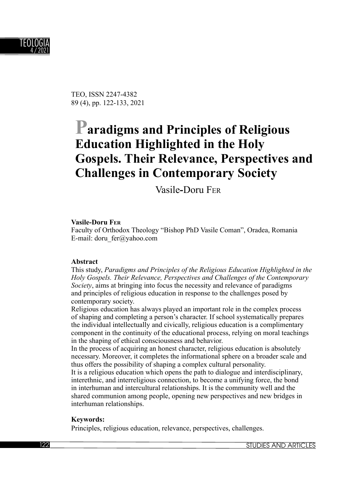

TEO, ISSN 2247-4382 89 (4), pp. 122-133, 2021

# **Paradigms and Principles of Religious Education Highlighted in the Holy Gospels. Their Relevance, Perspectives and Challenges in Contemporary Society**

Vasile**-**Doru FER

#### **Vasile-Doru FER**

Faculty of Orthodox Theology "Bishop PhD Vasile Coman", Oradea, Romania E-mail: doru\_fer@yahoo.com

#### **Abstract**

This study, *Paradigms and Principles of the Religious Education Highlighted in the Holy Gospels. Their Relevance, Perspectives and Challenges of the Contemporary Society*, aims at bringing into focus the necessity and relevance of paradigms and principles of religious education in response to the challenges posed by contemporary society.

Religious education has always played an important role in the complex process of shaping and completing a person's character. If school systematically prepares the individual intellectually and civically, religious education is a complimentary component in the continuity of the educational process, relying on moral teachings in the shaping of ethical consciousness and behavior.

In the process of acquiring an honest character, religious education is absolutely necessary. Moreover, it completes the informational sphere on a broader scale and thus offers the possibility of shaping a complex cultural personality.

It is a religious education which opens the path to dialogue and interdisciplinary, interethnic, and interreligious connection, to become a unifying force, the bond in interhuman and intercultural relationships. It is the community well and the shared communion among people, opening new perspectives and new bridges in interhuman relationships.

#### **Keywords:**

Principles, religious education, relevance, perspectives, challenges.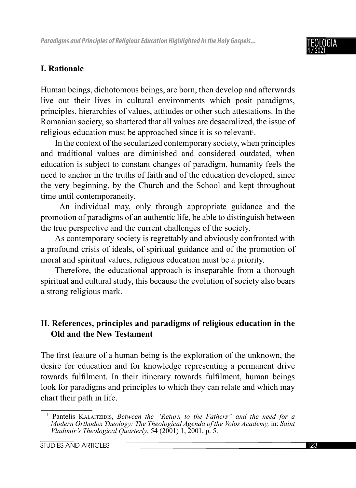

### **I. Rationale**

Human beings, dichotomous beings, are born, then develop and afterwards live out their lives in cultural environments which posit paradigms, principles, hierarchies of values, attitudes or other such attestations. In the Romanian society, so shattered that all values are desacralized, the issue of religious education must be approached since it is so relevant<sup>1</sup>.

In the context of the secularized contemporary society, when principles and traditional values are diminished and considered outdated, when education is subject to constant changes of paradigm, humanity feels the need to anchor in the truths of faith and of the education developed, since the very beginning, by the Church and the School and kept throughout time until contemporaneity.

 An individual may, only through appropriate guidance and the promotion of paradigms of an authentic life, be able to distinguish between the true perspective and the current challenges of the society.

As contemporary society is regrettably and obviously confronted with a profound crisis of ideals, of spiritual guidance and of the promotion of moral and spiritual values, religious education must be a priority.

Therefore, the educational approach is inseparable from a thorough spiritual and cultural study, this because the evolution of society also bears a strong religious mark.

## **II. References, principles and paradigms of religious education in the Old and the New Testament**

The first feature of a human being is the exploration of the unknown, the desire for education and for knowledge representing a permanent drive towards fulfilment. In their itinerary towards fulfilment, human beings look for paradigms and principles to which they can relate and which may chart their path in life.

<sup>1</sup> Pantelis KALAITZIDIS, *Between the "Return to the Fathers" and the need for a Modern Orthodox Theology: The Theological Agenda of the Volos Academy,* in: *Saint Vladimir's Theological Quarterly*, 54 (2001) 1, 2001, p. 5.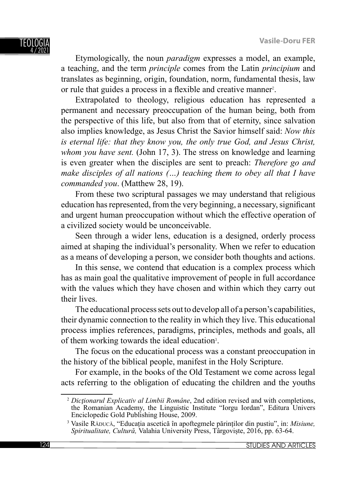Etymologically, the noun *paradigm* expresses a model, an example, a teaching, and the term *principle* comes from the Latin *principium* and translates as beginning, origin, foundation, norm, fundamental thesis, law or rule that guides a process in a flexible and creative manner<sup>2</sup>.

Extrapolated to theology, religious education has represented a permanent and necessary preoccupation of the human being, both from the perspective of this life, but also from that of eternity, since salvation also implies knowledge, as Jesus Christ the Savior himself said: *Now this is eternal life: that they know you, the only true God, and Jesus Christ, whom you have sent.* (John 17, 3). The stress on knowledge and learning is even greater when the disciples are sent to preach: *Therefore go and make disciples of all nations (…) teaching them to obey all that I have commanded you*. (Matthew 28, 19).

From these two scriptural passages we may understand that religious education has represented, from the very beginning, a necessary, significant and urgent human preoccupation without which the effective operation of a civilized society would be unconceivable.

Seen through a wider lens, education is a designed, orderly process aimed at shaping the individual's personality. When we refer to education as a means of developing a person, we consider both thoughts and actions.

In this sense, we contend that education is a complex process which has as main goal the qualitative improvement of people in full accordance with the values which they have chosen and within which they carry out their lives.

The educational process sets out to develop all of a person's capabilities, their dynamic connection to the reality in which they live. This educational process implies references, paradigms, principles, methods and goals, all of them working towards the ideal education<sup>3</sup>.

The focus on the educational process was a constant preoccupation in the history of the biblical people, manifest in the Holy Scripture.

For example, in the books of the Old Testament we come across legal acts referring to the obligation of educating the children and the youths

<sup>2</sup> *Dicţionarul Explicativ al Limbii Române*, 2nd edition revised and with completions, the Romanian Academy, the Linguistic Institute "Iorgu Iordan", Editura Univers Enciclopedic Gold Publishing House, 2009.

<sup>3</sup> Vasile RĂDUCĂ, "Educația ascetică în apoftegmele părinților din pustiu", in: *Misiune, Spiritualitate, Cultură,* Valahia University Press, Târgoviște, 2016, pp. 63-64.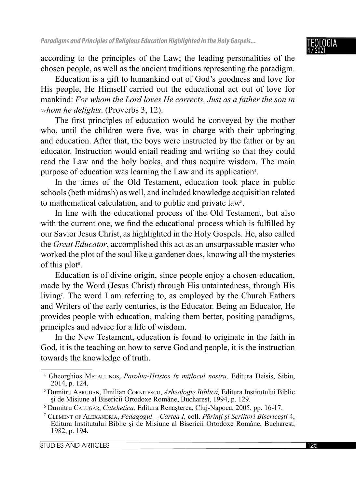

according to the principles of the Law; the leading personalities of the chosen people, as well as the ancient traditions representing the paradigm.

Education is a gift to humankind out of God's goodness and love for His people, He Himself carried out the educational act out of love for mankind: *For whom the Lord loves He corrects, Just as a father the son in whom he delights*. (Proverbs 3, 12).

The first principles of education would be conveyed by the mother who, until the children were five, was in charge with their upbringing and education. After that, the boys were instructed by the father or by an educator. Instruction would entail reading and writing so that they could read the Law and the holy books, and thus acquire wisdom. The main purpose of education was learning the Law and its application<sup>4</sup>.

In the times of the Old Testament, education took place in public schools (beth midrash) as well, and included knowledge acquisition related to mathematical calculation, and to public and private law<sup>5</sup>.

In line with the educational process of the Old Testament, but also with the current one, we find the educational process which is fulfilled by our Savior Jesus Christ, as highlighted in the Holy Gospels. He, also called the *Great Educator*, accomplished this act as an unsurpassable master who worked the plot of the soul like a gardener does, knowing all the mysteries of this plot $6$ .

Education is of divine origin, since people enjoy a chosen education, made by the Word (Jesus Christ) through His untaintedness, through His living<sup>7</sup>. The word I am referring to, as employed by the Church Fathers and Writers of the early centuries, is the Educator. Being an Educator, He provides people with education, making them better, positing paradigms, principles and advice for a life of wisdom.

In the New Testament, education is found to originate in the faith in God, it is the teaching on how to serve God and people, it is the instruction towards the knowledge of truth.

<sup>4</sup> Gheorghios METALLINOS, *Parohia-Hristos în mijlocul nostru,* Editura Deisis, Sibiu, 2014, p. 124.

<sup>5</sup> Dumitru ABRUDAN, Emilian CORNIȚESCU, *Arheologie Biblică,* Editura Institutului Biblic şi de Misiune al Bisericii Ortodoxe Române, Bucharest, 1994, p. 129.

<sup>6</sup> Dumitru CĂLUGĂR, *Catehetica,* Editura Renașterea, Cluj-Napoca, 2005, pp. 16-17.

<sup>7</sup> CLEMENT OF ALEXANDRIA, *Pedagogul – Cartea I,* coll. *Părinţi şi Scriitori Bisericeşti* 4, Editura Institutului Biblic şi de Misiune al Bisericii Ortodoxe Române, Bucharest, 1982, p. 194.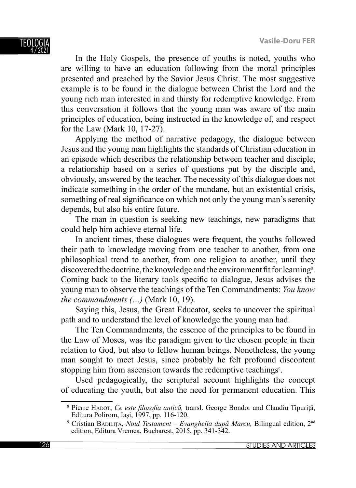In the Holy Gospels, the presence of youths is noted, youths who are willing to have an education following from the moral principles presented and preached by the Savior Jesus Christ. The most suggestive example is to be found in the dialogue between Christ the Lord and the young rich man interested in and thirsty for redemptive knowledge. From this conversation it follows that the young man was aware of the main principles of education, being instructed in the knowledge of, and respect for the Law (Mark 10, 17-27).

Applying the method of narrative pedagogy, the dialogue between Jesus and the young man highlights the standards of Christian education in an episode which describes the relationship between teacher and disciple, a relationship based on a series of questions put by the disciple and, obviously, answered by the teacher. The necessity of this dialogue does not indicate something in the order of the mundane, but an existential crisis, something of real significance on which not only the young man's serenity depends, but also his entire future.

The man in question is seeking new teachings, new paradigms that could help him achieve eternal life.

In ancient times, these dialogues were frequent, the youths followed their path to knowledge moving from one teacher to another, from one philosophical trend to another, from one religion to another, until they discovered the doctrine, the knowledge and the environment fit for learning<sup>8</sup>. Coming back to the literary tools specific to dialogue, Jesus advises the young man to observe the teachings of the Ten Commandments: *You know the commandments (…)* (Mark 10, 19).

Saying this, Jesus, the Great Educator, seeks to uncover the spiritual path and to understand the level of knowledge the young man had.

The Ten Commandments, the essence of the principles to be found in the Law of Moses, was the paradigm given to the chosen people in their relation to God, but also to fellow human beings. Nonetheless, the young man sought to meet Jesus, since probably he felt profound discontent stopping him from ascension towards the redemptive teachings<sup>9</sup>.

Used pedagogically, the scriptural account highlights the concept of educating the youth, but also the need for permanent education. This

<sup>&</sup>lt;sup>8</sup> Pierre HADOT, *Ce este filosofia antică*, transl. George Bondor and Claudiu Tipuriță, Editura Polirom, Iași, 1997, pp. 116-120.

<sup>9</sup> Cristian BĂDILIȚĂ, *Noul Testament – Evanghelia după Marcu,* Bilingual edition, 2nd edition, Editura Vremea, Bucharest, 2015, pp. 341-342.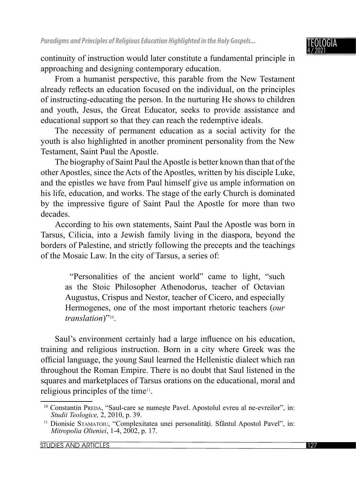

continuity of instruction would later constitute a fundamental principle in approaching and designing contemporary education.

From a humanist perspective, this parable from the New Testament already reflects an education focused on the individual, on the principles of instructing-educating the person. In the nurturing He shows to children and youth, Jesus, the Great Educator, seeks to provide assistance and educational support so that they can reach the redemptive ideals.

The necessity of permanent education as a social activity for the youth is also highlighted in another prominent personality from the New Testament, Saint Paul the Apostle.

The biography of Saint Paul the Apostle is better known than that of the other Apostles, since the Acts of the Apostles, written by his disciple Luke, and the epistles we have from Paul himself give us ample information on his life, education, and works. The stage of the early Church is dominated by the impressive figure of Saint Paul the Apostle for more than two decades.

According to his own statements, Saint Paul the Apostle was born in Tarsus, Cilicia, into a Jewish family living in the diaspora, beyond the borders of Palestine, and strictly following the precepts and the teachings of the Mosaic Law. In the city of Tarsus, a series of:

 "Personalities of the ancient world" came to light, "such as the Stoic Philosopher Athenodorus, teacher of Octavian Augustus, Crispus and Nestor, teacher of Cicero, and especially Hermogenes, one of the most important rhetoric teachers (*our translation*)"10.

Saul's environment certainly had a large influence on his education, training and religious instruction. Born in a city where Greek was the official language, the young Saul learned the Hellenistic dialect which ran throughout the Roman Empire. There is no doubt that Saul listened in the squares and marketplaces of Tarsus orations on the educational, moral and religious principles of the time<sup>11</sup>.

<sup>10</sup> Constantin PREDA, "Saul-care se numește Pavel. Apostolul evreu al ne-evreilor", in: *Studii Teologice,* 2, 2010, p. 39.

<sup>&</sup>lt;sup>11</sup> Dionisie STAMATOIU, "Complexitatea unei personalități. Sfântul Apostol Pavel", in: *Mitropolia Olteniei*, 1-4, 2002, p. 17.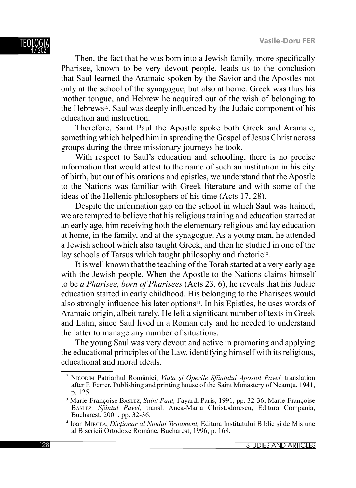Then, the fact that he was born into a Jewish family, more specifically Pharisee, known to be very devout people, leads us to the conclusion that Saul learned the Aramaic spoken by the Savior and the Apostles not only at the school of the synagogue, but also at home. Greek was thus his mother tongue, and Hebrew he acquired out of the wish of belonging to the Hebrews<sup>12</sup>. Saul was deeply influenced by the Judaic component of his education and instruction.

Therefore, Saint Paul the Apostle spoke both Greek and Aramaic, something which helped him in spreading the Gospel of Jesus Christ across groups during the three missionary journeys he took.

With respect to Saul's education and schooling, there is no precise information that would attest to the name of such an institution in his city of birth, but out of his orations and epistles, we understand that the Apostle to the Nations was familiar with Greek literature and with some of the ideas of the Hellenic philosophers of his time (Acts 17, 28).

Despite the information gap on the school in which Saul was trained, we are tempted to believe that his religious training and education started at an early age, him receiving both the elementary religious and lay education at home, in the family, and at the synagogue. As a young man, he attended a Jewish school which also taught Greek, and then he studied in one of the lay schools of Tarsus which taught philosophy and rhetoric<sup>13</sup>.

It is well known that the teaching of the Torah started at a very early age with the Jewish people. When the Apostle to the Nations claims himself to be *a Pharisee, born of Pharisees* (Acts 23, 6), he reveals that his Judaic education started in early childhood. His belonging to the Pharisees would also strongly influence his later options $14$ . In his Epistles, he uses words of Aramaic origin, albeit rarely. He left a significant number of texts in Greek and Latin, since Saul lived in a Roman city and he needed to understand the latter to manage any number of situations.

The young Saul was very devout and active in promoting and applying the educational principles of the Law, identifying himself with its religious, educational and moral ideals.

<sup>12</sup> NICODIM Patriarhul României, *Viaţa şi Operile Sfântului Apostol Pavel,* translation after F. Ferrer, Publishing and printing house of the Saint Monastery of Neamtu, 1941, p. 125.

<sup>13</sup> Marie-Françoise BASLEZ, *Saint Paul,* Fayard, Paris, 1991, pp. 32-36; Marie-Françoise BASLEZ*, Sfântul Pavel,* transl. Anca-Maria Christodorescu, Editura Compania, Bucharest, 2001, pp. 32-36.

<sup>14</sup> Ioan MIRCEA, *Dicţionar al Noului Testament,* Editura Institutului Biblic şi de Misiune al Bisericii Ortodoxe Române, Bucharest, 1996, p. 168.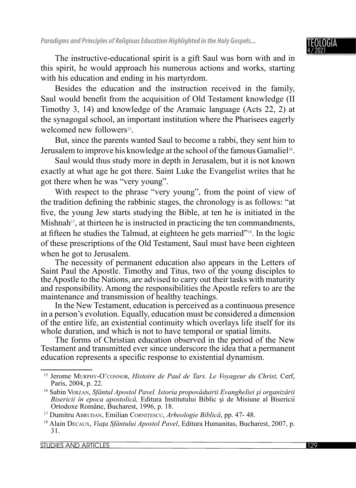The instructive-educational spirit is a gift Saul was born with and in this spirit, he would approach his numerous actions and works, starting with his education and ending in his martyrdom.

Besides the education and the instruction received in the family, Saul would benefit from the acquisition of Old Testament knowledge (II Timothy 3, 14) and knowledge of the Aramaic language (Acts 22, 2) at the synagogal school, an important institution where the Pharisees eagerly welcomed new followers<sup>15</sup>.

But, since the parents wanted Saul to become a rabbi, they sent him to Jerusalem to improve his knowledge at the school of the famous Gamaliel<sup>16</sup>.

Saul would thus study more in depth in Jerusalem, but it is not known exactly at what age he got there. Saint Luke the Evangelist writes that he got there when he was "very young".

With respect to the phrase "very young", from the point of view of the tradition defining the rabbinic stages, the chronology is as follows: "at five, the young Jew starts studying the Bible, at ten he is initiated in the Mishnah<sup>17</sup>, at thirteen he is instructed in practicing the ten commandments, at fi fteen he studies the Talmud, at eighteen he gets married"18. In the logic of these prescriptions of the Old Testament, Saul must have been eighteen when he got to Jerusalem.

The necessity of permanent education also appears in the Letters of Saint Paul the Apostle. Timothy and Titus, two of the young disciples to the Apostle to the Nations, are advised to carry out their tasks with maturity and responsibility. Among the responsibilities the Apostle refers to are the maintenance and transmission of healthy teachings.

In the New Testament, education is perceived as a continuous presence in a person's evolution. Equally, education must be considered a dimension of the entire life, an existential continuity which overlays life itself for its whole duration, and which is not to have temporal or spatial limits.

The forms of Christian education observed in the period of the New Testament and transmitted ever since underscore the idea that a permanent education represents a specific response to existential dynamism.

<sup>15</sup> Jerome MURPHY-O'CONNOR, *Histoire de Paul de Tars. Le Voyageur du Christ,* Cerf, Paris, 2004, p. 22.

<sup>16</sup> Sabin VERZAN, *Sfântul Apostol Pavel. Istoria propovăduirii Evangheliei şi organizării Bisericii în epoca apostolică,* Editura Institutului Biblic şi de Misiune al Bisericii Ortodoxe Române, Bucharest, 1996, p. 18.

<sup>17</sup> Dumitru ABRUDAN, Emilian CORNIȚESCU, *Arheologie Biblică*, pp. 47- 48.

<sup>18</sup> Alain DECAUX, *Viaţa Sfântului Apostol Pavel*, Editura Humanitas, Bucharest, 2007, p. 31.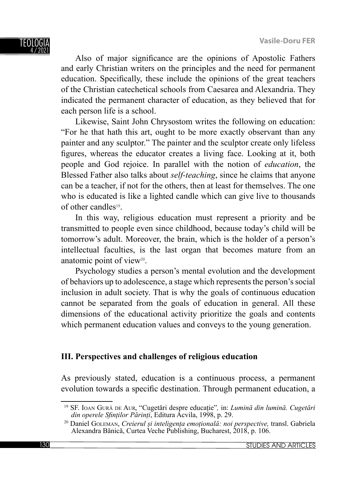Also of major significance are the opinions of Apostolic Fathers and early Christian writers on the principles and the need for permanent education. Specifically, these include the opinions of the great teachers of the Christian catechetical schools from Caesarea and Alexandria. They indicated the permanent character of education, as they believed that for each person life is a school.

Likewise, Saint John Chrysostom writes the following on education: "For he that hath this art, ought to be more exactly observant than any painter and any sculptor." The painter and the sculptor create only lifeless figures, whereas the educator creates a living face. Looking at it, both people and God rejoice. In parallel with the notion of *education*, the Blessed Father also talks about *self-teaching*, since he claims that anyone can be a teacher, if not for the others, then at least for themselves. The one who is educated is like a lighted candle which can give live to thousands of other candles19.

In this way, religious education must represent a priority and be transmitted to people even since childhood, because today's child will be tomorrow's adult. Moreover, the brain, which is the holder of a person's intellectual faculties, is the last organ that becomes mature from an anatomic point of view<sup>20</sup>.

Psychology studies a person's mental evolution and the development of behaviors up to adolescence, a stage which represents the person's social inclusion in adult society. That is why the goals of continuous education cannot be separated from the goals of education in general. All these dimensions of the educational activity prioritize the goals and contents which permanent education values and conveys to the young generation.

### **III. Perspectives and challenges of religious education**

As previously stated, education is a continuous process, a permanent evolution towards a specific destination. Through permanent education, a

<sup>19</sup> SF. IOAN GUR<sup>Ă</sup> DE AUR, "Cugetări despre educație"*,* in: *Lumină din lumină. Cugetări din operele Sfi nților Părinți*, Editura Acvila, 1998, p. 29.

<sup>20</sup> Daniel GOLEMAN, *Creierul și inteligența emoțională: noi perspective,* transl. Gabriela Alexandra Bănică, Curtea Veche Publishing, Bucharest, 2018, p. 106.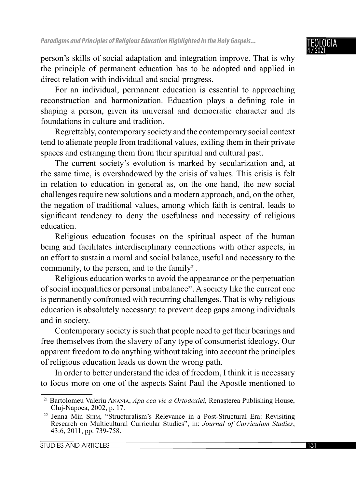

person's skills of social adaptation and integration improve. That is why the principle of permanent education has to be adopted and applied in direct relation with individual and social progress.

For an individual, permanent education is essential to approaching reconstruction and harmonization. Education plays a defining role in shaping a person, given its universal and democratic character and its foundations in culture and tradition.

Regrettably, contemporary society and the contemporary social context tend to alienate people from traditional values, exiling them in their private spaces and estranging them from their spiritual and cultural past.

The current society's evolution is marked by secularization and, at the same time, is overshadowed by the crisis of values. This crisis is felt in relation to education in general as, on the one hand, the new social challenges require new solutions and a modern approach, and, on the other, the negation of traditional values, among which faith is central, leads to significant tendency to deny the usefulness and necessity of religious education.

Religious education focuses on the spiritual aspect of the human being and facilitates interdisciplinary connections with other aspects, in an effort to sustain a moral and social balance, useful and necessary to the community, to the person, and to the family<sup>21</sup>.

Religious education works to avoid the appearance or the perpetuation of social inequalities or personal imbalance22. A society like the current one is permanently confronted with recurring challenges. That is why religious education is absolutely necessary: to prevent deep gaps among individuals and in society.

Contemporary society is such that people need to get their bearings and free themselves from the slavery of any type of consumerist ideology. Our apparent freedom to do anything without taking into account the principles of religious education leads us down the wrong path.

In order to better understand the idea of freedom, I think it is necessary to focus more on one of the aspects Saint Paul the Apostle mentioned to

<sup>21</sup> Bartolomeu Valeriu ANANIA, *Apa cea vie a Ortodoxiei,* Renaşterea Publishing House, Cluj-Napoca, 2002, p. 17.

<sup>22</sup> Jenna Min SHIM, "Structuralism's Relevance in a Post-Structural Era: Revisiting Research on Multicultural Curricular Studies", in: *Journal of Curriculum Studies*, 43:6, 2011, pp. 739-758.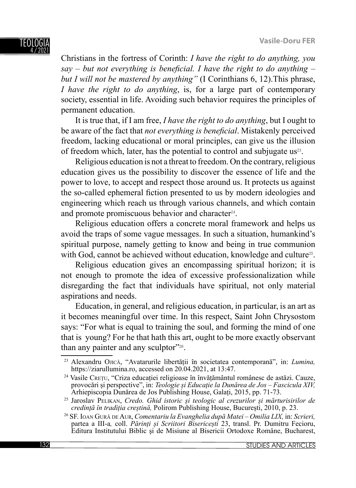Christians in the fortress of Corinth: *I have the right to do anything, you*   $say - but not everything is beneficial. I have the right to do anything$ *but I will not be mastered by anything"* (I Corinthians 6, 12).This phrase, *I have the right to do anything*, is, for a large part of contemporary society, essential in life. Avoiding such behavior requires the principles of permanent education.

It is true that, if I am free, *I have the right to do anything*, but I ought to be aware of the fact that *not everything is beneficial*. Mistakenly perceived freedom, lacking educational or moral principles, can give us the illusion of freedom which, later, has the potential to control and subjugate us<sup>23</sup>.

Religious education is not a threat to freedom. On the contrary, religious education gives us the possibility to discover the essence of life and the power to love, to accept and respect those around us. It protects us against the so-called ephemeral fiction presented to us by modern ideologies and engineering which reach us through various channels, and which contain and promote promiscuous behavior and character<sup>24</sup>.

Religious education offers a concrete moral framework and helps us avoid the traps of some vague messages. In such a situation, humankind's spiritual purpose, namely getting to know and being in true communion with God, cannot be achieved without education, knowledge and culture<sup>25</sup>.

Religious education gives an encompassing spiritual horizon; it is not enough to promote the idea of excessive professionalization while disregarding the fact that individuals have spiritual, not only material aspirations and needs.

Education, in general, and religious education, in particular, is an art as it becomes meaningful over time. In this respect, Saint John Chrysostom says: "For what is equal to training the soul, and forming the mind of one that is young? For he that hath this art, ought to be more exactly observant than any painter and any sculptor"<sup>26</sup>.

<sup>23</sup> Alexandru OJICĂ, "Avatarurile libertății în societatea contemporană", in: *Lumina,*  https://ziarullumina.ro, accessed on 20.04.2021, at 13:47.

<sup>24</sup> Vasile CREȚU, "Criza educației religioase în învățământul românesc de astăzi. Cauze, provocări și perspective", in: *Teologie și Educație la Dunărea de Jos – Fascicula XIV,*  Arhiepiscopia Dunărea de Jos Publishing House, Galați, 2015, pp. 71-73.

<sup>25</sup> Jaroslav PELIKAN, *Credo. Ghid istoric și teologic al crezurilor și mărturisirilor de credință în tradiția creștină,* Polirom Publishing House, București, 2010, p. 23.

<sup>26</sup> SF. IOAN GUR<sup>Ă</sup> DE AUR, *Comentariu la Evanghelia după Matei – Omilia LIX,* in: *Scrieri,*  partea a III-a*,* coll. *Părinți și Scriitori Bisericești* 23, transl. Pr. Dumitru Fecioru, Editura Institutului Biblic şi de Misiune al Bisericii Ortodoxe Române, Bucharest,